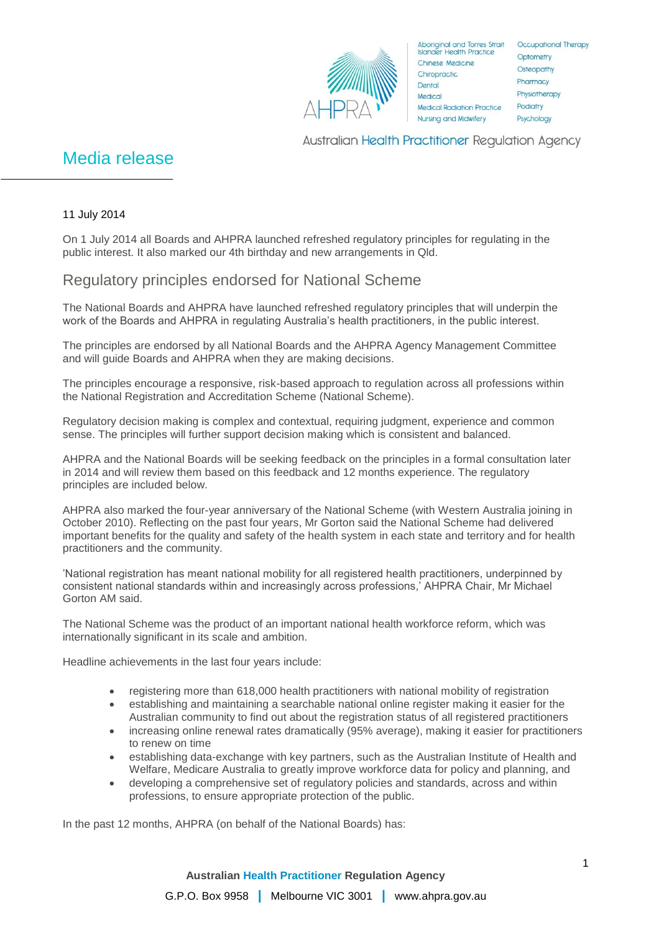

Aboriginal and Torres Strait Occupational Therapy<br>Islander Health Practice Optometry **Chinese Medicine** Chiropractic Dental Medica Medical Radiation Practice Nursing and Midwifery

Optometry Osteopathy Pharmacy Physiotherapy Podiatry Psychology

**Australian Health Practitioner Regulation Agency** 

# Media release

### 11 July 2014

On 1 July 2014 all Boards and AHPRA launched refreshed regulatory principles for regulating in the public interest. It also marked our 4th birthday and new arrangements in Qld.

## Regulatory principles endorsed for National Scheme

The National Boards and AHPRA have launched refreshed regulatory principles that will underpin the work of the Boards and AHPRA in regulating Australia's health practitioners, in the public interest.

The principles are endorsed by all National Boards and the AHPRA Agency Management Committee and will guide Boards and AHPRA when they are making decisions.

The principles encourage a responsive, risk-based approach to regulation across all professions within the National Registration and Accreditation Scheme (National Scheme).

Regulatory decision making is complex and contextual, requiring judgment, experience and common sense. The principles will further support decision making which is consistent and balanced.

AHPRA and the National Boards will be seeking feedback on the principles in a formal consultation later in 2014 and will review them based on this feedback and 12 months experience. The regulatory principles are included below.

AHPRA also marked the four-year anniversary of the National Scheme (with Western Australia joining in October 2010). Reflecting on the past four years, Mr Gorton said the National Scheme had delivered important benefits for the quality and safety of the health system in each state and territory and for health practitioners and the community.

'National registration has meant national mobility for all registered health practitioners, underpinned by consistent national standards within and increasingly across professions,' AHPRA Chair, Mr Michael Gorton AM said.

The National Scheme was the product of an important national health workforce reform, which was internationally significant in its scale and ambition.

Headline achievements in the last four years include:

- registering more than 618,000 health practitioners with national mobility of registration
- establishing and maintaining a searchable national online register making it easier for the Australian community to find out about the registration status of all registered practitioners
- increasing online renewal rates dramatically (95% average), making it easier for practitioners to renew on time
- establishing data-exchange with key partners, such as the Australian Institute of Health and Welfare, Medicare Australia to greatly improve workforce data for policy and planning, and
- developing a comprehensive set of regulatory policies and standards, across and within professions, to ensure appropriate protection of the public.

In the past 12 months, AHPRA (on behalf of the National Boards) has: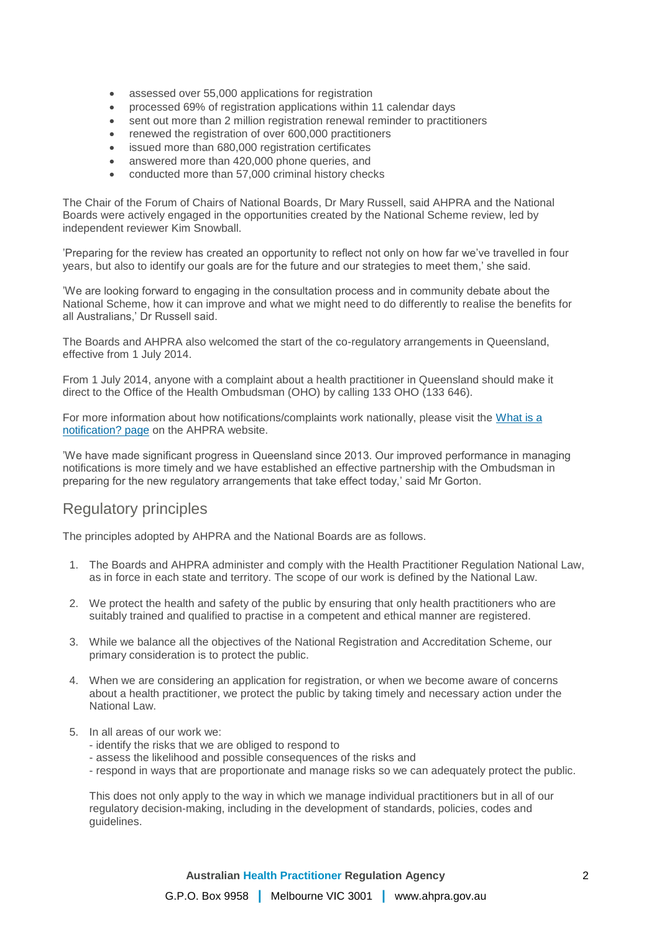- assessed over 55,000 applications for registration
- processed 69% of registration applications within 11 calendar days
- sent out more than 2 million registration renewal reminder to practitioners
- renewed the registration of over 600,000 practitioners
- issued more than 680,000 registration certificates
- answered more than 420,000 phone queries, and
- conducted more than 57,000 criminal history checks

The Chair of the Forum of Chairs of National Boards, Dr Mary Russell, said AHPRA and the National Boards were actively engaged in the opportunities created by the National Scheme review, led by independent reviewer Kim Snowball.

'Preparing for the review has created an opportunity to reflect not only on how far we've travelled in four years, but also to identify our goals are for the future and our strategies to meet them,' she said.

'We are looking forward to engaging in the consultation process and in community debate about the National Scheme, how it can improve and what we might need to do differently to realise the benefits for all Australians,' Dr Russell said.

The Boards and AHPRA also welcomed the start of the co-regulatory arrangements in Queensland, effective from 1 July 2014.

From 1 July 2014, anyone with a complaint about a health practitioner in Queensland should make it direct to the Office of the Health Ombudsman (OHO) by calling 133 OHO (133 646).

For more information about how notifications/complaints work nationally, please visit the What is a [notification? page](http://www.ahpra.gov.au/Notifications/What-is-a-notification.aspx) on the AHPRA website.

'We have made significant progress in Queensland since 2013. Our improved performance in managing notifications is more timely and we have established an effective partnership with the Ombudsman in preparing for the new regulatory arrangements that take effect today,' said Mr Gorton.

### Regulatory principles

The principles adopted by AHPRA and the National Boards are as follows.

- 1. The Boards and AHPRA administer and comply with the Health Practitioner Regulation National Law, as in force in each state and territory. The scope of our work is defined by the National Law.
- 2. We protect the health and safety of the public by ensuring that only health practitioners who are suitably trained and qualified to practise in a competent and ethical manner are registered.
- 3. While we balance all the objectives of the National Registration and Accreditation Scheme, our primary consideration is to protect the public.
- 4. When we are considering an application for registration, or when we become aware of concerns about a health practitioner, we protect the public by taking timely and necessary action under the National Law.
- 5. In all areas of our work we:
	- identify the risks that we are obliged to respond to
	- assess the likelihood and possible consequences of the risks and
	- respond in ways that are proportionate and manage risks so we can adequately protect the public.

This does not only apply to the way in which we manage individual practitioners but in all of our regulatory decision-making, including in the development of standards, policies, codes and guidelines.